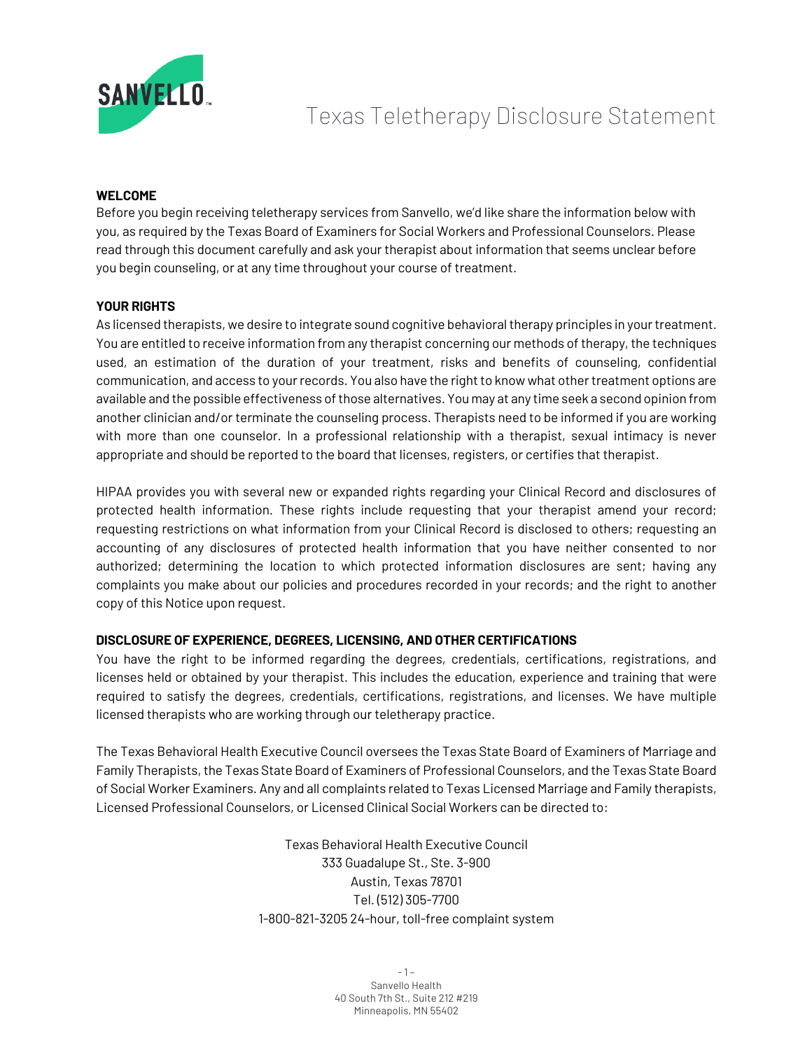

# Texas Teletherapy Disclosure Statement

#### **WELCOME**

Before you begin receiving teletherapy services from Sanvello, we'd like share the information below with you, as required by the Texas Board of Examiners for Social Workers and Professional Counselors. Please read through this document carefully and ask your therapist about information that seems unclear before you begin counseling, or at any time throughout your course of treatment.

#### **YOUR RIGHTS**

As licensed therapists, we desire to integrate sound cognitive behavioral therapy principles in your treatment. You are entitled to receive information from any therapist concerning our methods of therapy, the techniques used, an estimation of the duration of your treatment, risks and benefits of counseling, confidential communication, and access to your records. You also have the right to know what other treatment options are available and the possible effectiveness of those alternatives. You may at any time seek a second opinion from another clinician and/or terminate the counseling process. Therapists need to be informed if you are working with more than one counselor. In a professional relationship with a therapist, sexual intimacy is never appropriate and should be reported to the board that licenses, registers, or certifies that therapist.

HIPAA provides you with several new or expanded rights regarding your Clinical Record and disclosures of protected health information. These rights include requesting that your therapist amend your record; requesting restrictions on what information from your Clinical Record is disclosed to others; requesting an accounting of any disclosures of protected health information that you have neither consented to nor authorized; determining the location to which protected information disclosures are sent; having any complaints you make about our policies and procedures recorded in your records; and the right to another copy of this Notice upon request.

# **DISCLOSURE OF EXPERIENCE, DEGREES, LICENSING, AND OTHER CERTIFICATIONS**

You have the right to be informed regarding the degrees, credentials, certifications, registrations, and licenses held or obtained by your therapist. This includes the education, experience and training that were required to satisfy the degrees, credentials, certifications, registrations, and licenses. We have multiple licensed therapists who are working through our teletherapy practice.

The Texas Behavioral Health Executive Council oversees the Texas State Board of Examiners of Marriage and Family Therapists, the Texas State Board of Examiners of Professional Counselors, and the Texas State Board of Social Worker Examiners. Any and all complaints related to Texas Licensed Marriage and Family therapists, Licensed Professional Counselors, or Licensed Clinical Social Workers can be directed to:

> Texas Behavioral Health Executive Council 333 Guadalupe St., Ste. 3-900 Austin, Texas 78701 Tel. (512) 305-7700 1-800-821-3205 24-hour, toll-free complaint system

> > - 1 – Sanvello Health 40 South 7th St., Suite 212 #219 Minneapolis, MN 55402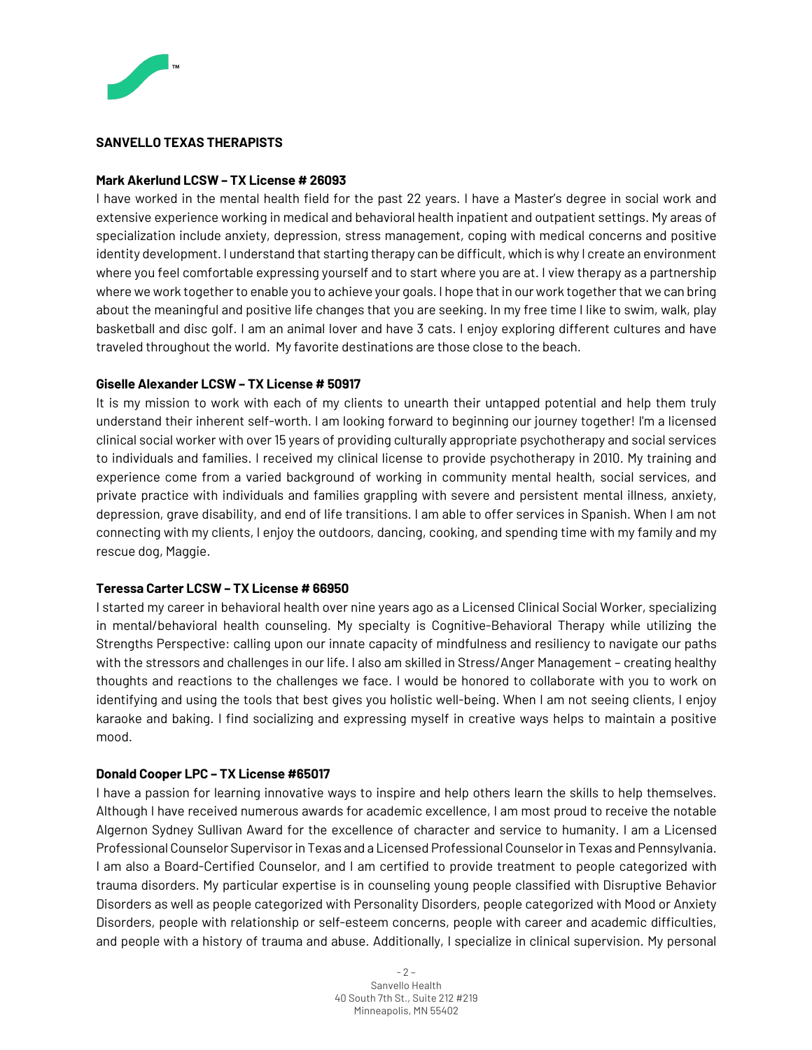

#### **SANVELLO TEXAS THERAPISTS**

#### **Mark Akerlund LCSW – TX License # 26093**

I have worked in the mental health field for the past 22 years. I have a Master's degree in social work and extensive experience working in medical and behavioral health inpatient and outpatient settings. My areas of specialization include anxiety, depression, stress management, coping with medical concerns and positive identity development. I understand that starting therapy can be difficult, which is why I create an environment where you feel comfortable expressing yourself and to start where you are at. I view therapy as a partnership where we work together to enable you to achieve your goals. I hope that in our work together that we can bring about the meaningful and positive life changes that you are seeking. In my free time I like to swim, walk, play basketball and disc golf. I am an animal lover and have 3 cats. I enjoy exploring different cultures and have traveled throughout the world. My favorite destinations are those close to the beach.

#### **Giselle Alexander LCSW – TX License # 50917**

It is my mission to work with each of my clients to unearth their untapped potential and help them truly understand their inherent self-worth. I am looking forward to beginning our journey together! I'm a licensed clinical social worker with over 15 years of providing culturally appropriate psychotherapy and social services to individuals and families. I received my clinical license to provide psychotherapy in 2010. My training and experience come from a varied background of working in community mental health, social services, and private practice with individuals and families grappling with severe and persistent mental illness, anxiety, depression, grave disability, and end of life transitions. I am able to offer services in Spanish. When I am not connecting with my clients, I enjoy the outdoors, dancing, cooking, and spending time with my family and my rescue dog, Maggie.

# **Teressa Carter LCSW – TX License # 66950**

I started my career in behavioral health over nine years ago as a Licensed Clinical Social Worker, specializing in mental/behavioral health counseling. My specialty is Cognitive-Behavioral Therapy while utilizing the Strengths Perspective: calling upon our innate capacity of mindfulness and resiliency to navigate our paths with the stressors and challenges in our life. I also am skilled in Stress/Anger Management – creating healthy thoughts and reactions to the challenges we face. I would be honored to collaborate with you to work on identifying and using the tools that best gives you holistic well-being. When I am not seeing clients, I enjoy karaoke and baking. I find socializing and expressing myself in creative ways helps to maintain a positive mood.

#### **Donald Cooper LPC – TX License #65017**

I have a passion for learning innovative ways to inspire and help others learn the skills to help themselves. Although I have received numerous awards for academic excellence, I am most proud to receive the notable Algernon Sydney Sullivan Award for the excellence of character and service to humanity. I am a Licensed Professional Counselor Supervisor in Texas and a Licensed Professional Counselor in Texas and Pennsylvania. I am also a Board-Certified Counselor, and I am certified to provide treatment to people categorized with trauma disorders. My particular expertise is in counseling young people classified with Disruptive Behavior Disorders as well as people categorized with Personality Disorders, people categorized with Mood or Anxiety Disorders, people with relationship or self-esteem concerns, people with career and academic difficulties, and people with a history of trauma and abuse. Additionally, I specialize in clinical supervision. My personal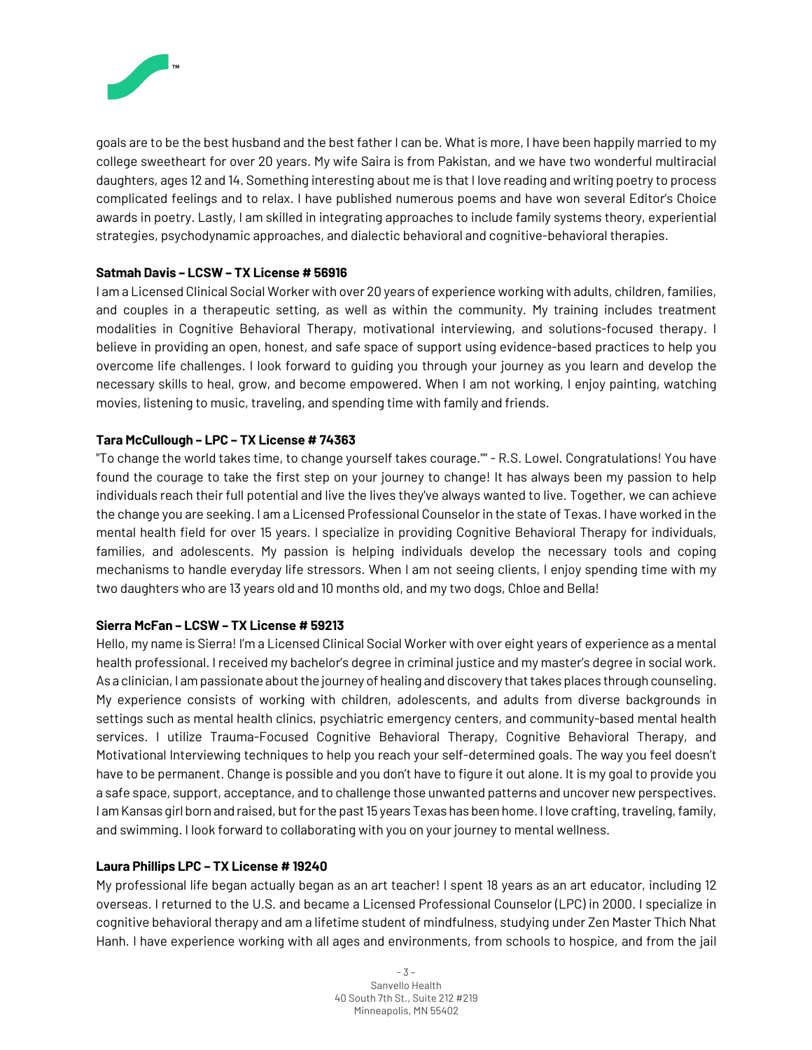

goals are to be the best husband and the best father I can be. What is more, I have been happily married to my college sweetheart for over 20 years. My wife Saira is from Pakistan, and we have two wonderful multiracial daughters, ages 12 and 14. Something interesting about me is that I love reading and writing poetry to process complicated feelings and to relax. I have published numerous poems and have won several Editor's Choice awards in poetry. Lastly, I am skilled in integrating approaches to include family systems theory, experiential strategies, psychodynamic approaches, and dialectic behavioral and cognitive-behavioral therapies.

# **Satmah Davis – LCSW – TX License # 56916**

I am a Licensed Clinical Social Worker with over 20 years of experience working with adults, children, families, and couples in a therapeutic setting, as well as within the community. My training includes treatment modalities in Cognitive Behavioral Therapy, motivational interviewing, and solutions-focused therapy. I believe in providing an open, honest, and safe space of support using evidence-based practices to help you overcome life challenges. I look forward to guiding you through your journey as you learn and develop the necessary skills to heal, grow, and become empowered. When I am not working, I enjoy painting, watching movies, listening to music, traveling, and spending time with family and friends.

# **Tara McCullough – LPC – TX License # 74363**

"To change the world takes time, to change yourself takes courage."" - R.S. Lowel. Congratulations! You have found the courage to take the first step on your journey to change! It has always been my passion to help individuals reach their full potential and live the lives they've always wanted to live. Together, we can achieve the change you are seeking. I am a Licensed Professional Counselor in the state of Texas. I have worked in the mental health field for over 15 years. I specialize in providing Cognitive Behavioral Therapy for individuals, families, and adolescents. My passion is helping individuals develop the necessary tools and coping mechanisms to handle everyday life stressors. When I am not seeing clients, I enjoy spending time with my two daughters who are 13 years old and 10 months old, and my two dogs, Chloe and Bella!

# **Sierra McFan – LCSW – TX License # 59213**

Hello, my name is Sierra! I'm a Licensed Clinical Social Worker with over eight years of experience as a mental health professional. I received my bachelor's degree in criminal justice and my master's degree in social work. As a clinician, I am passionate about the journey of healing and discovery that takes places through counseling. My experience consists of working with children, adolescents, and adults from diverse backgrounds in settings such as mental health clinics, psychiatric emergency centers, and community-based mental health services. I utilize Trauma-Focused Cognitive Behavioral Therapy, Cognitive Behavioral Therapy, and Motivational Interviewing techniques to help you reach your self-determined goals. The way you feel doesn't have to be permanent. Change is possible and you don't have to figure it out alone. It is my goal to provide you a safe space, support, acceptance, and to challenge those unwanted patterns and uncover new perspectives. I am Kansas girl born and raised, but for the past 15 years Texas has been home. I love crafting, traveling, family, and swimming. I look forward to collaborating with you on your journey to mental wellness.

# **Laura Phillips LPC – TX License # 19240**

My professional life began actually began as an art teacher! I spent 18 years as an art educator, including 12 overseas. I returned to the U.S. and became a Licensed Professional Counselor (LPC) in 2000. I specialize in cognitive behavioral therapy and am a lifetime student of mindfulness, studying under Zen Master Thich Nhat Hanh. I have experience working with all ages and environments, from schools to hospice, and from the jail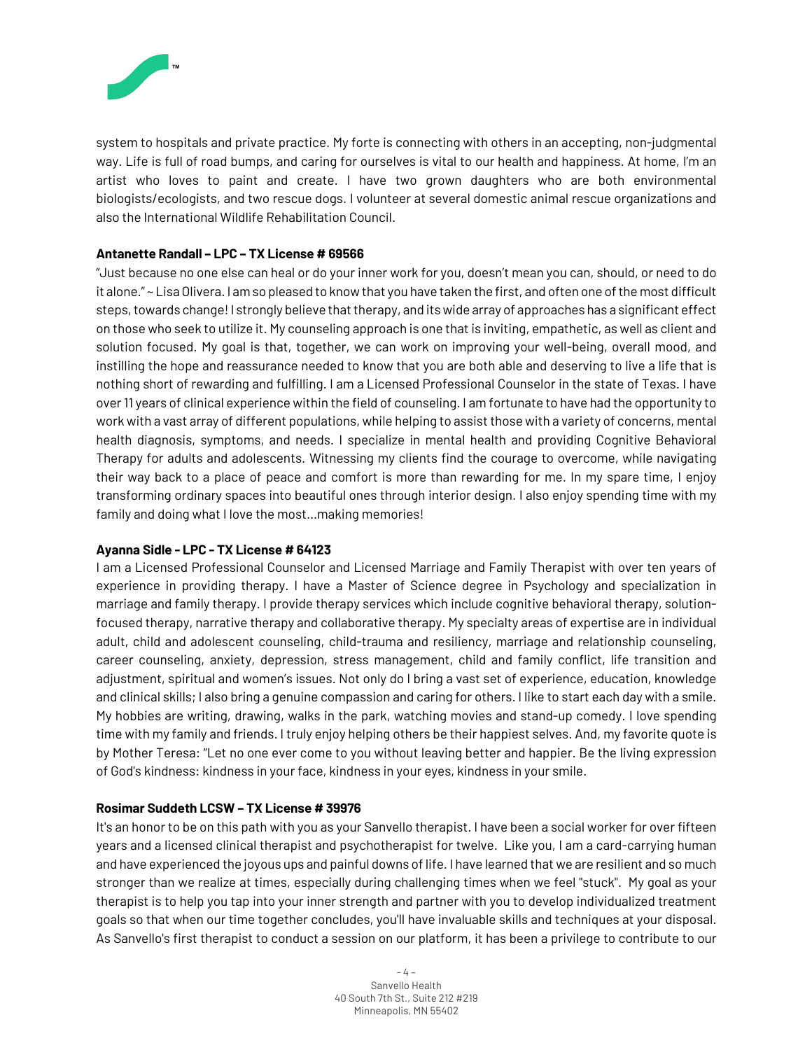

system to hospitals and private practice. My forte is connecting with others in an accepting, non-judgmental way. Life is full of road bumps, and caring for ourselves is vital to our health and happiness. At home, I'm an artist who loves to paint and create. I have two grown daughters who are both environmental biologists/ecologists, and two rescue dogs. I volunteer at several domestic animal rescue organizations and also the International Wildlife Rehabilitation Council.

#### **Antanette Randall – LPC – TX License # 69566**

"Just because no one else can heal or do your inner work for you, doesn't mean you can, should, or need to do it alone." ~ Lisa Olivera. I am so pleased to know that you have taken the first, and often one of the most difficult steps, towards change! I strongly believe that therapy, and its wide array of approaches has a significant effect on those who seek to utilize it. My counseling approach is one that is inviting, empathetic, as well as client and solution focused. My goal is that, together, we can work on improving your well-being, overall mood, and instilling the hope and reassurance needed to know that you are both able and deserving to live a life that is nothing short of rewarding and fulfilling. I am a Licensed Professional Counselor in the state of Texas. I have over 11 years of clinical experience within the field of counseling. I am fortunate to have had the opportunity to work with a vast array of different populations, while helping to assist those with a variety of concerns, mental health diagnosis, symptoms, and needs. I specialize in mental health and providing Cognitive Behavioral Therapy for adults and adolescents. Witnessing my clients find the courage to overcome, while navigating their way back to a place of peace and comfort is more than rewarding for me. In my spare time, I enjoy transforming ordinary spaces into beautiful ones through interior design. I also enjoy spending time with my family and doing what I love the most…making memories!

#### **Ayanna Sidle - LPC - TX License # 64123**

I am a Licensed Professional Counselor and Licensed Marriage and Family Therapist with over ten years of experience in providing therapy. I have a Master of Science degree in Psychology and specialization in marriage and family therapy. I provide therapy services which include cognitive behavioral therapy, solutionfocused therapy, narrative therapy and collaborative therapy. My specialty areas of expertise are in individual adult, child and adolescent counseling, child-trauma and resiliency, marriage and relationship counseling, career counseling, anxiety, depression, stress management, child and family conflict, life transition and adjustment, spiritual and women's issues. Not only do I bring a vast set of experience, education, knowledge and clinical skills; I also bring a genuine compassion and caring for others. I like to start each day with a smile. My hobbies are writing, drawing, walks in the park, watching movies and stand-up comedy. I love spending time with my family and friends. I truly enjoy helping others be their happiest selves. And, my favorite quote is by Mother Teresa: "Let no one ever come to you without leaving better and happier. Be the living expression of God's kindness: kindness in your face, kindness in your eyes, kindness in your smile.

# **Rosimar Suddeth LCSW – TX License # 39976**

It's an honor to be on this path with you as your Sanvello therapist. I have been a social worker for over fifteen years and a licensed clinical therapist and psychotherapist for twelve. Like you, I am a card-carrying human and have experienced the joyous ups and painful downs of life. I have learned that we are resilient and so much stronger than we realize at times, especially during challenging times when we feel "stuck". My goal as your therapist is to help you tap into your inner strength and partner with you to develop individualized treatment goals so that when our time together concludes, you'll have invaluable skills and techniques at your disposal. As Sanvello's first therapist to conduct a session on our platform, it has been a privilege to contribute to our